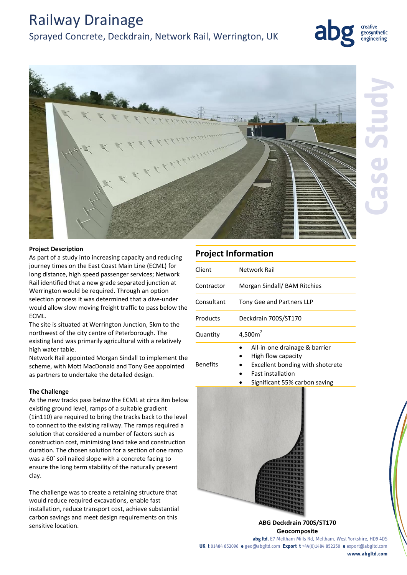# Railway Drainage

# Sprayed Concrete, Deckdrain, Network Rail, Werrington, UK





### **Project Description**

As part of a study into increasing capacity and reducing journey times on the East Coast Main Line (ECML) for long distance, high speed passenger services; Network Rail identified that a new grade separated junction at Werrington would be required. Through an option selection process it was determined that a dive-under would allow slow moving freight traffic to pass below the ECML.

The site is situated at Werrington Junction, 5km to the northwest of the city centre of Peterborough. The existing land was primarily agricultural with a relatively high water table.

Network Rail appointed Morgan Sindall to implement the scheme, with Mott MacDonald and Tony Gee appointed as partners to undertake the detailed design.

#### **The Challenge**

As the new tracks pass below the ECML at circa 8m below existing ground level, ramps of a suitable gradient (1in110) are required to bring the tracks back to the level to connect to the existing railway. The ramps required a solution that considered a number of factors such as construction cost, minimising land take and construction duration. The chosen solution for a section of one ramp was a 60˚ soil nailed slope with a concrete facing to ensure the long term stability of the naturally present clay.

The challenge was to create a retaining structure that would reduce required excavations, enable fast installation, reduce transport cost, achieve substantial carbon savings and meet design requirements on this sensitive location.

## **Project Information**

| Client          | Network Rail                                                                                                                                         |
|-----------------|------------------------------------------------------------------------------------------------------------------------------------------------------|
| Contractor      | Morgan Sindall/ BAM Ritchies                                                                                                                         |
| Consultant      | <b>Tony Gee and Partners LLP</b>                                                                                                                     |
| Products        | Deckdrain 700S/ST170                                                                                                                                 |
| Quantity        | 4,500 $m2$                                                                                                                                           |
| <b>Benefits</b> | All-in-one drainage & barrier<br>High flow capacity<br>Excellent bonding with shotcrete<br><b>Fast installation</b><br>Significant 55% carbon saving |



**ABG Deckdrain 700S/ST170 Geocomposite** 

**abg ltd.** E7 Meltham Mills Rd, Meltham, West Yorkshire, HD9 4DS **UK t** 01484 852096 **e** geo@abgltd.com **Export t** +44(0)1484 852250 **e** export@abgltd.com

**www.abgltd.com**